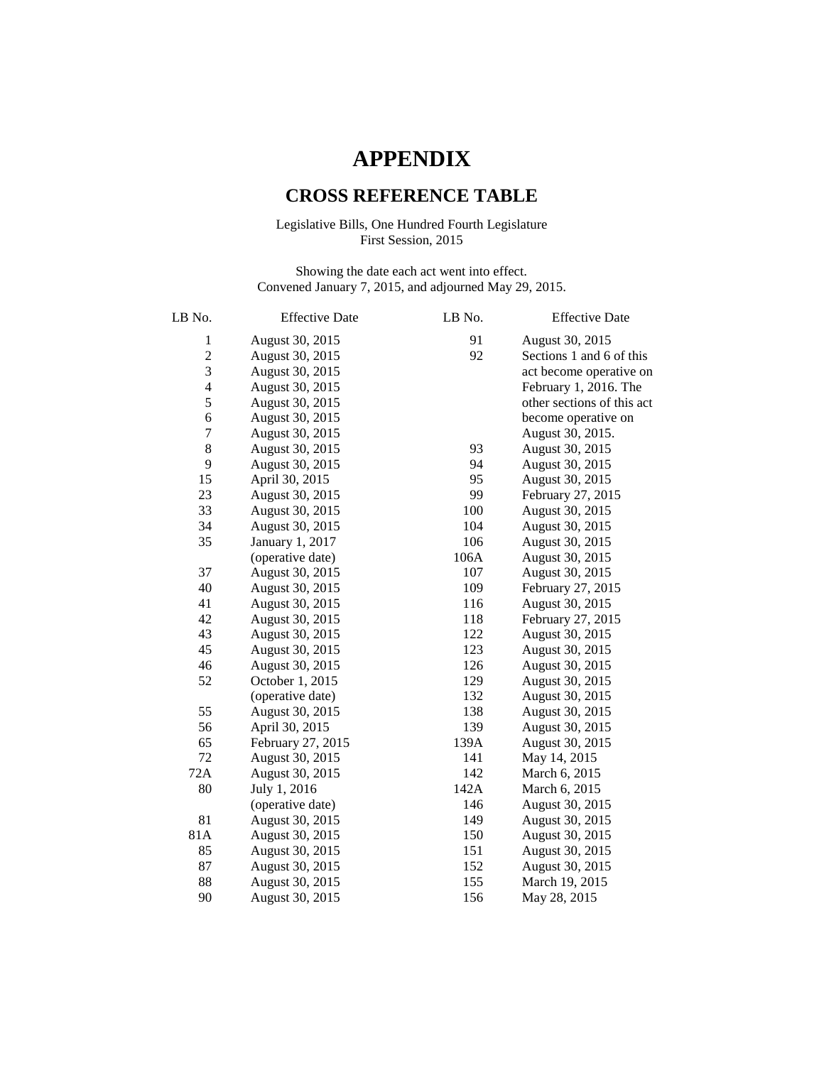## **APPENDIX**

## **CROSS REFERENCE TABLE**

## Legislative Bills, One Hundred Fourth Legislature First Session, 2015

Showing the date each act went into effect. Convened January 7, 2015, and adjourned May 29, 2015.

| LB No.           | <b>Effective Date</b> | LB No. | <b>Effective Date</b>      |
|------------------|-----------------------|--------|----------------------------|
| $\mathbf{1}$     | August 30, 2015       | 91     | August 30, 2015            |
| $\overline{c}$   | August 30, 2015       | 92     | Sections 1 and 6 of this   |
| 3                | August 30, 2015       |        | act become operative on    |
| $\overline{4}$   | August 30, 2015       |        | February 1, 2016. The      |
| 5                | August 30, 2015       |        | other sections of this act |
| $\boldsymbol{6}$ | August 30, 2015       |        | become operative on        |
| $\overline{7}$   | August 30, 2015       |        | August 30, 2015.           |
| 8                | August 30, 2015       | 93     | August 30, 2015            |
| 9                | August 30, 2015       | 94     | August 30, 2015            |
| 15               | April 30, 2015        | 95     | August 30, 2015            |
| 23               | August 30, 2015       | 99     | February 27, 2015          |
| 33               | August 30, 2015       | 100    | August 30, 2015            |
| 34               | August 30, 2015       | 104    | August 30, 2015            |
| 35               | January 1, 2017       | 106    | August 30, 2015            |
|                  | (operative date)      | 106A   | August 30, 2015            |
| 37               | August 30, 2015       | 107    | August 30, 2015            |
| 40               | August 30, 2015       | 109    | February 27, 2015          |
| 41               | August 30, 2015       | 116    | August 30, 2015            |
| 42               | August 30, 2015       | 118    | February 27, 2015          |
| 43               | August 30, 2015       | 122    | August 30, 2015            |
| 45               | August 30, 2015       | 123    | August 30, 2015            |
| 46               | August 30, 2015       | 126    | August 30, 2015            |
| 52               | October 1, 2015       | 129    | August 30, 2015            |
|                  | (operative date)      | 132    | August 30, 2015            |
| 55               | August 30, 2015       | 138    | August 30, 2015            |
| 56               | April 30, 2015        | 139    | August 30, 2015            |
| 65               | February 27, 2015     | 139A   | August 30, 2015            |
| 72               | August 30, 2015       | 141    | May 14, 2015               |
| 72A              | August 30, 2015       | 142    | March 6, 2015              |
| 80               | July 1, 2016          | 142A   | March 6, 2015              |
|                  | (operative date)      | 146    | August 30, 2015            |
| 81               | August 30, 2015       | 149    | August 30, 2015            |
| 81A              | August 30, 2015       | 150    | August 30, 2015            |
| 85               | August 30, 2015       | 151    | August 30, 2015            |
| 87               | August 30, 2015       | 152    | August 30, 2015            |
| 88               | August 30, 2015       | 155    | March 19, 2015             |
| 90               | August 30, 2015       | 156    | May 28, 2015               |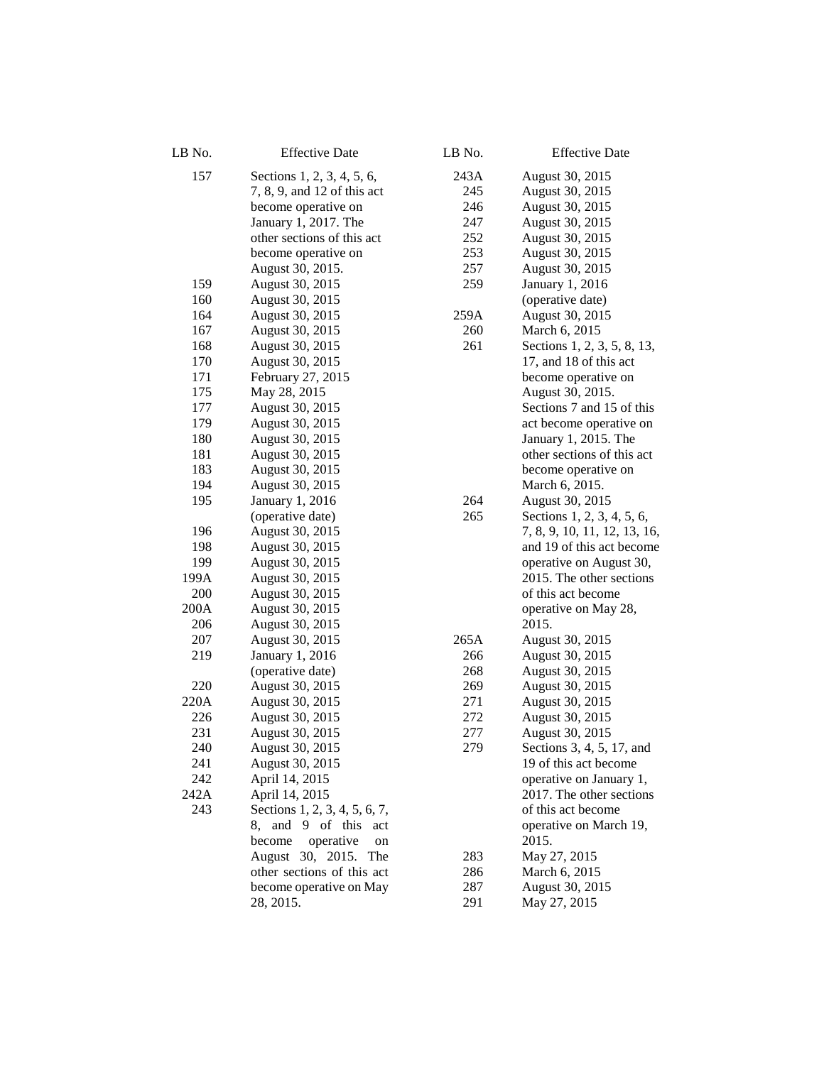| LB No. | <b>Effective Date</b>         | LB No. | <b>Effective Date</b>        |
|--------|-------------------------------|--------|------------------------------|
| 157    | Sections 1, 2, 3, 4, 5, 6,    | 243A   | August 30, 2015              |
|        | 7, 8, 9, and 12 of this act   | 245    | August 30, 2015              |
|        | become operative on           | 246    | August 30, 2015              |
|        | January 1, 2017. The          | 247    | August 30, 2015              |
|        | other sections of this act    | 252    | August 30, 2015              |
|        | become operative on           | 253    | August 30, 2015              |
|        | August 30, 2015.              | 257    | August 30, 2015              |
| 159    | August 30, 2015               | 259    | January 1, 2016              |
| 160    | August 30, 2015               |        | (operative date)             |
| 164    | August 30, 2015               | 259A   | August 30, 2015              |
| 167    | August 30, 2015               | 260    | March 6, 2015                |
| 168    | August 30, 2015               | 261    | Sections 1, 2, 3, 5, 8, 13,  |
| 170    | August 30, 2015               |        | 17, and 18 of this act       |
| 171    | February 27, 2015             |        | become operative on          |
| 175    | May 28, 2015                  |        | August 30, 2015.             |
| 177    | August 30, 2015               |        | Sections 7 and 15 of this    |
| 179    | August 30, 2015               |        | act become operative on      |
| 180    | August 30, 2015               |        | January 1, 2015. The         |
| 181    | August 30, 2015               |        | other sections of this act   |
| 183    | August 30, 2015               |        | become operative on          |
| 194    | August 30, 2015               |        | March 6, 2015.               |
| 195    | January 1, 2016               | 264    | August 30, 2015              |
|        | (operative date)              | 265    | Sections 1, 2, 3, 4, 5, 6,   |
| 196    | August 30, 2015               |        | 7, 8, 9, 10, 11, 12, 13, 16, |
| 198    | August 30, 2015               |        | and 19 of this act become    |
| 199    | August 30, 2015               |        | operative on August 30,      |
| 199A   | August 30, 2015               |        | 2015. The other sections     |
| 200    | August 30, 2015               |        | of this act become           |
| 200A   | August 30, 2015               |        | operative on May 28,         |
| 206    | August 30, 2015               |        | 2015.                        |
| 207    | August 30, 2015               | 265A   | August 30, 2015              |
| 219    | January 1, 2016               | 266    | August 30, 2015              |
|        | (operative date)              | 268    | August 30, 2015              |
| 220    | August 30, 2015               | 269    | August 30, 2015              |
| 220A   | August 30, 2015               | 271    | August 30, 2015              |
| 226    | August 30, 2015               | 272    | August 30, 2015              |
| 231    | August 30, 2015               | 277    | August 30, 2015              |
| 240    | August 30, 2015               | 279    | Sections 3, 4, 5, 17, and    |
| 241    | August 30, 2015               |        | 19 of this act become        |
| 242    | April 14, 2015                |        | operative on January 1,      |
| 242A   | April 14, 2015                |        | 2017. The other sections     |
| 243    | Sections 1, 2, 3, 4, 5, 6, 7, |        | of this act become           |
|        | and 9 of this<br>8,<br>act    |        | operative on March 19,       |
|        | become<br>operative<br>on     |        | 2015.                        |
|        | August 30, 2015. The          | 283    | May 27, 2015                 |
|        | other sections of this act    | 286    | March 6, 2015                |
|        | become operative on May       | 287    | August 30, 2015              |
|        | 28, 2015.                     | 291    | May 27, 2015                 |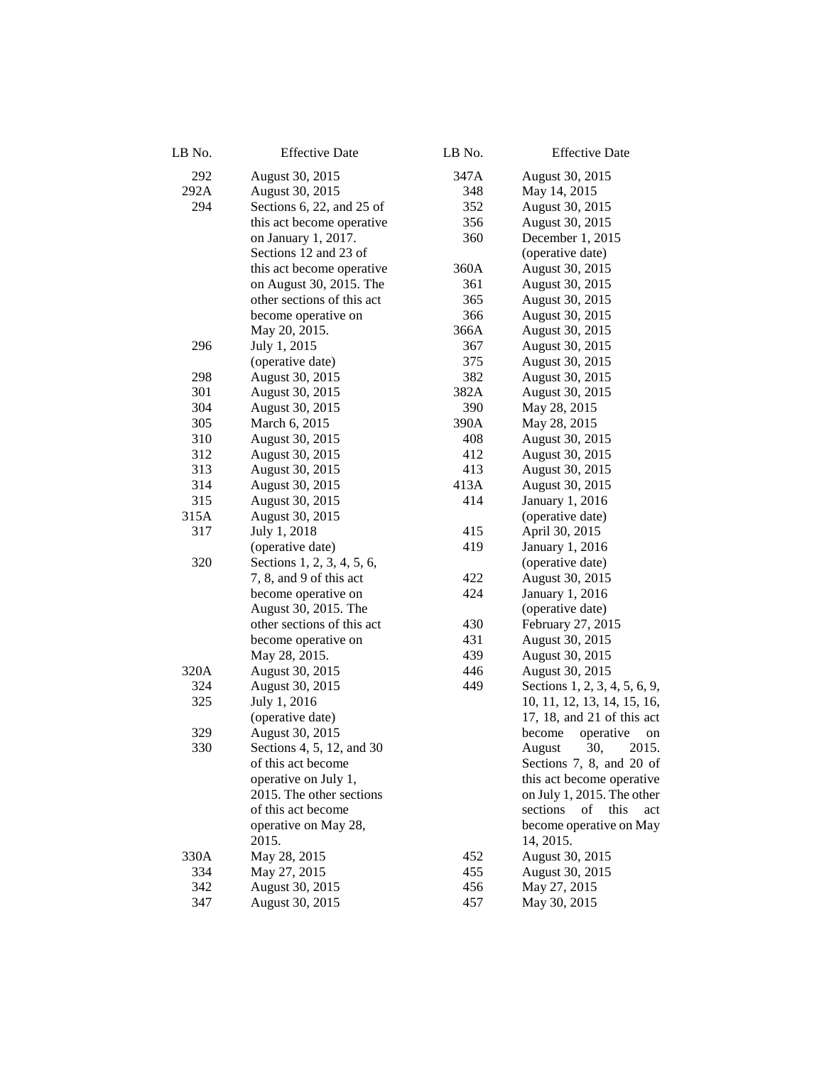| LB No. | <b>Effective Date</b>      | LB No. | <b>Effective Date</b>         |
|--------|----------------------------|--------|-------------------------------|
| 292    | August 30, 2015            | 347A   | August 30, 2015               |
| 292A   | August 30, 2015            | 348    | May 14, 2015                  |
| 294    | Sections 6, 22, and 25 of  | 352    | August 30, 2015               |
|        | this act become operative  | 356    | August 30, 2015               |
|        | on January 1, 2017.        | 360    | December 1, 2015              |
|        | Sections 12 and 23 of      |        | (operative date)              |
|        | this act become operative  | 360A   | August 30, 2015               |
|        | on August 30, 2015. The    | 361    | August 30, 2015               |
|        | other sections of this act | 365    | August 30, 2015               |
|        | become operative on        | 366    | August 30, 2015               |
|        | May 20, 2015.              | 366A   | August 30, 2015               |
| 296    | July 1, 2015               | 367    | August 30, 2015               |
|        | (operative date)           | 375    | August 30, 2015               |
| 298    | August 30, 2015            | 382    | August 30, 2015               |
| 301    | August 30, 2015            | 382A   | August 30, 2015               |
| 304    | August 30, 2015            | 390    | May 28, 2015                  |
| 305    | March 6, 2015              | 390A   | May 28, 2015                  |
| 310    | August 30, 2015            | 408    | August 30, 2015               |
| 312    | August 30, 2015            | 412    | August 30, 2015               |
| 313    | August 30, 2015            | 413    | August 30, 2015               |
| 314    | August 30, 2015            | 413A   | August 30, 2015               |
| 315    | August 30, 2015            | 414    | January 1, 2016               |
| 315A   | August 30, 2015            |        | (operative date)              |
| 317    | July 1, 2018               | 415    | April 30, 2015                |
|        | (operative date)           | 419    | January 1, 2016               |
| 320    | Sections 1, 2, 3, 4, 5, 6, |        | (operative date)              |
|        | 7, 8, and 9 of this act    | 422    | August 30, 2015               |
|        | become operative on        | 424    | January 1, 2016               |
|        | August 30, 2015. The       |        | (operative date)              |
|        | other sections of this act | 430    | February 27, 2015             |
|        | become operative on        | 431    | August 30, 2015               |
|        | May 28, 2015.              | 439    | August 30, 2015               |
| 320A   | August 30, 2015            | 446    | August 30, 2015               |
| 324    | August 30, 2015            | 449    | Sections 1, 2, 3, 4, 5, 6, 9, |
| 325    | July 1, 2016               |        | 10, 11, 12, 13, 14, 15, 16,   |
|        | (operative date)           |        | 17, 18, and 21 of this act    |
| 329    | August 30, 2015            |        | operative<br>become<br>on     |
| 330    | Sections 4, 5, 12, and 30  |        | August 30,<br>2015.           |
|        | of this act become         |        | Sections 7, 8, and 20 of      |
|        | operative on July 1,       |        | this act become operative     |
|        | 2015. The other sections   |        | on July 1, 2015. The other    |
|        | of this act become         |        | sections of this<br>act       |
|        | operative on May 28,       |        | become operative on May       |
|        | 2015.                      |        | 14, 2015.                     |
| 330A   | May 28, 2015               | 452    | August 30, 2015               |
| 334    | May 27, 2015               | 455    | August 30, 2015               |
| 342    | August 30, 2015            | 456    | May 27, 2015                  |
| 347    | August 30, 2015            | 457    | May 30, 2015                  |